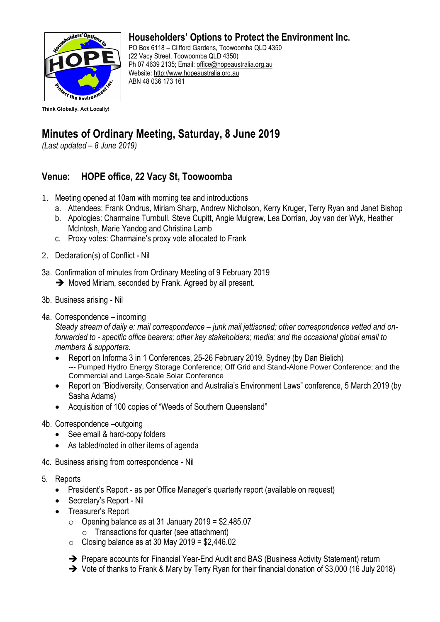

## **Householders' Options to Protect the Environment Inc.**

PO Box 6118 – Clifford Gardens, Toowoomba QLD 4350 (22 Vacy Street, Toowoomba QLD 4350) Ph 07 4639 2135; Email: [office@hopeaustralia.org.au](mailto:office@hopeaustralia.org.au)  Website: [http://www.hopeaustralia.org.au](http://www.hopeaustralia.org.au/) ABN 48 036 173 161

## **Minutes of Ordinary Meeting, Saturday, 8 June 2019**

*(Last updated – 8 June 2019)*

## **Venue: HOPE office, 22 Vacy St, Toowoomba**

- 1. Meeting opened at 10am with morning tea and introductions
	- a. Attendees: Frank Ondrus, Miriam Sharp, Andrew Nicholson, Kerry Kruger, Terry Ryan and Janet Bishop
	- b. Apologies: Charmaine Turnbull, Steve Cupitt, Angie Mulgrew, Lea Dorrian, Joy van der Wyk, Heather McIntosh, Marie Yandog and Christina Lamb
	- c. Proxy votes: Charmaine's proxy vote allocated to Frank
- 2. Declaration(s) of Conflict Nil
- 3a. Confirmation of minutes from Ordinary Meeting of 9 February 2019 **→** Moved Miriam, seconded by Frank. Agreed by all present.
- 3b. Business arising Nil
- 4a. Correspondence incoming

*Steady stream of daily e: mail correspondence – junk mail jettisoned; other correspondence vetted and onforwarded to - specific office bearers; other key stakeholders; media; and the occasional global email to members & supporters.* 

- Report on Informa 3 in 1 Conferences, 25-26 February 2019, Sydney (by Dan Bielich) --- Pumped Hydro Energy Storage Conference; Off Grid and Stand-Alone Power Conference; and the Commercial and Large-Scale Solar Conference
- Report on "Biodiversity, Conservation and Australia's Environment Laws" conference, 5 March 2019 (by Sasha Adams)
- Acquisition of 100 copies of "Weeds of Southern Queensland"

## 4b. Correspondence –outgoing

- See email & hard-copy folders
- As tabled/noted in other items of agenda
- 4c. Business arising from correspondence Nil
- 5. Reports
	- President's Report as per Office Manager's quarterly report (available on request)
	- Secretary's Report Nil
	- Treasurer's Report
		- $\circ$  Opening balance as at 31 January 2019 = \$2,485.07
			- $\circ$  Transactions for quarter (see attachment)
		- $\circ$  Closing balance as at 30 May 2019 = \$2,446.02
		- → Prepare accounts for Financial Year-End Audit and BAS (Business Activity Statement) return
		- ➔ Vote of thanks to Frank & Mary by Terry Ryan for their financial donation of \$3,000 (16 July 2018)